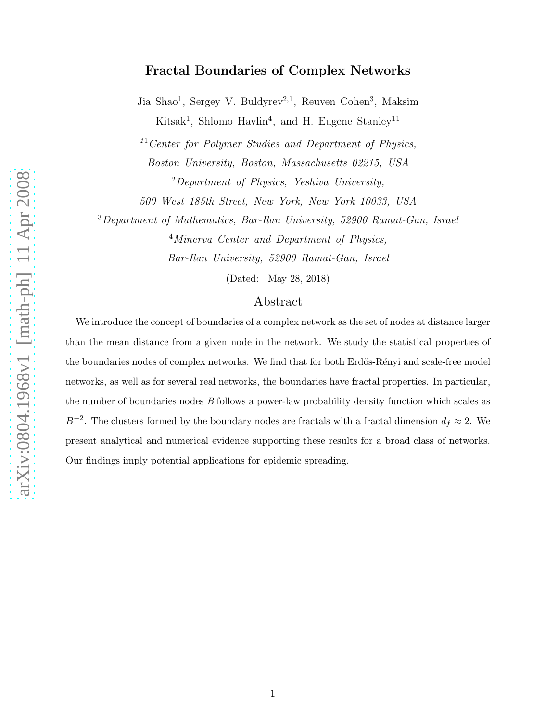## Fractal Boundaries of Complex Networks

Jia Shao<sup>1</sup>, Sergey V. Buldyrev<sup>2,1</sup>, Reuven Cohen<sup>3</sup>, Maksim Kitsak<sup>1</sup>, Shlomo Havlin<sup>4</sup>, and H. Eugene Stanley<sup>11</sup>

 $11$ Center for Polymer Studies and Department of Physics, Boston University, Boston, Massachusetts 02215, USA  $2$ Department of Physics, Yeshiva University,

500 West 185th Street, New York, New York 10033, USA

<sup>3</sup>Department of Mathematics, Bar-Ilan University, 52900 Ramat-Gan, Israel <sup>4</sup>Minerva Center and Department of Physics, Bar-Ilan University, 52900 Ramat-Gan, Israel

(Dated: May 28, 2018)

## Abstract

We introduce the concept of boundaries of a complex network as the set of nodes at distance larger than the mean distance from a given node in the network. We study the statistical properties of the boundaries nodes of complex networks. We find that for both Erdös-Rényi and scale-free model networks, as well as for several real networks, the boundaries have fractal properties. In particular, the number of boundaries nodes *B* follows a power-law probability density function which scales as  $B^{-2}$ . The clusters formed by the boundary nodes are fractals with a fractal dimension  $d_f \approx 2$ . We present analytical and numerical evidence supporting these results for a broad class of networks. Our findings imply potential applications for epidemic spreading.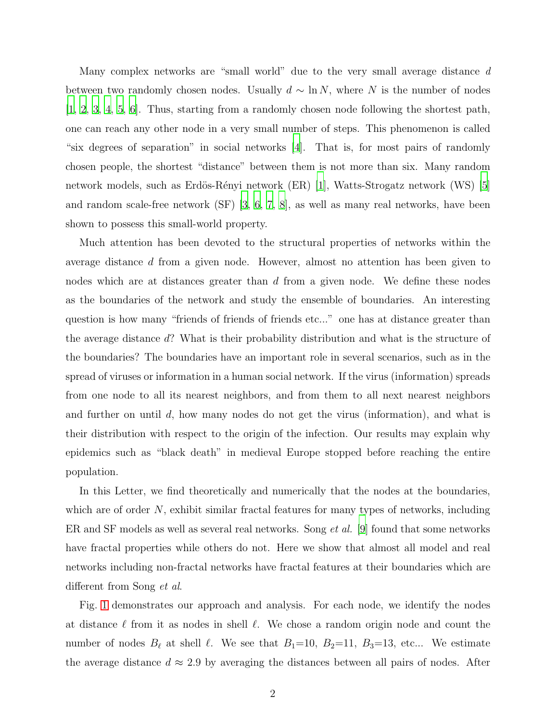Many complex networks are "small world" due to the very small average distance d between two randomly chosen nodes. Usually  $d \sim \ln N$ , where N is the number of nodes [\[1](#page-9-0), [2,](#page-9-1) [3](#page-9-2), [4,](#page-9-3) [5](#page-9-4), [6\]](#page-9-5). Thus, starting from a randomly chosen node following the shortest path, one can reach any other node in a very small number of steps. This phenomenon is called "six degrees of separation" in social networks [\[4](#page-9-3)]. That is, for most pairs of randomly chosen people, the shortest "distance" between them is not more than six. Many random network models, such as Erdös-Rényi network (ER) [\[1](#page-9-0)], Watts-Strogatz network (WS) [\[5\]](#page-9-4) and random scale-free network (SF) [\[3,](#page-9-2) [6](#page-9-5), [7](#page-9-6), [8\]](#page-9-7), as well as many real networks, have been shown to possess this small-world property.

Much attention has been devoted to the structural properties of networks within the average distance d from a given node. However, almost no attention has been given to nodes which are at distances greater than  $d$  from a given node. We define these nodes as the boundaries of the network and study the ensemble of boundaries. An interesting question is how many "friends of friends of friends etc..." one has at distance greater than the average distance d? What is their probability distribution and what is the structure of the boundaries? The boundaries have an important role in several scenarios, such as in the spread of viruses or information in a human social network. If the virus (information) spreads from one node to all its nearest neighbors, and from them to all next nearest neighbors and further on until  $d$ , how many nodes do not get the virus (information), and what is their distribution with respect to the origin of the infection. Our results may explain why epidemics such as "black death" in medieval Europe stopped before reaching the entire population.

In this Letter, we find theoretically and numerically that the nodes at the boundaries, which are of order  $N$ , exhibit similar fractal features for many types of networks, including ER and SF models as well as several real networks. Song *et al.* [\[9](#page-9-8)] found that some networks have fractal properties while others do not. Here we show that almost all model and real networks including non-fractal networks have fractal features at their boundaries which are different from Song et al.

Fig. [1](#page-2-0) demonstrates our approach and analysis. For each node, we identify the nodes at distance  $\ell$  from it as nodes in shell  $\ell$ . We chose a random origin node and count the number of nodes  $B_{\ell}$  at shell  $\ell$ . We see that  $B_1=10$ ,  $B_2=11$ ,  $B_3=13$ , etc... We estimate the average distance  $d \approx 2.9$  by averaging the distances between all pairs of nodes. After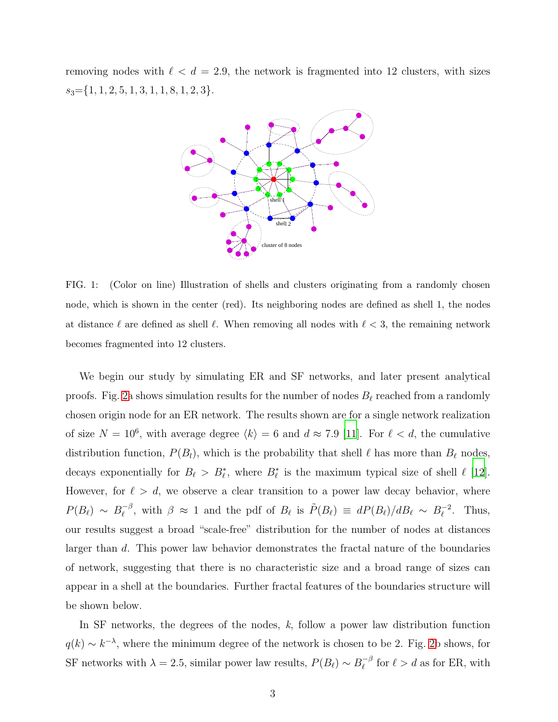removing nodes with  $\ell < d = 2.9$ , the network is fragmented into 12 clusters, with sizes  $s_3 = \{1, 1, 2, 5, 1, 3, 1, 1, 8, 1, 2, 3\}.$ 



<span id="page-2-0"></span>FIG. 1: (Color on line) Illustration of shells and clusters originating from a randomly chosen node, which is shown in the center (red). Its neighboring nodes are defined as shell 1, the nodes at distance  $\ell$  are defined as shell  $\ell$ . When removing all nodes with  $\ell < 3$ , the remaining network becomes fragmented into 12 clusters.

We begin our study by simulating ER and SF networks, and later present analytical proofs. Fig. [2a](#page-3-0) shows simulation results for the number of nodes  $B_{\ell}$  reached from a randomly chosen origin node for an ER network. The results shown are for a single network realization of size  $N = 10^6$ , with average degree  $\langle k \rangle = 6$  and  $d \approx 7.9$  [\[11](#page-9-9)]. For  $\ell < d$ , the cumulative distribution function,  $P(B_l)$ , which is the probability that shell  $\ell$  has more than  $B_{\ell}$  nodes, decays exponentially for  $B_{\ell} > B_{\ell}^*$ , where  $B_{\ell}^*$  is the maximum typical size of shell  $\ell$  [\[12\]](#page-10-0). However, for  $\ell > d$ , we observe a clear transition to a power law decay behavior, where  $P(B_{\ell}) \sim B_{\ell}^{-\beta}$  $\tilde{\rho}^{-\beta}$ , with  $\beta \approx 1$  and the pdf of  $B_{\ell}$  is  $\tilde{P}(B_{\ell}) \equiv dP(B_{\ell})/dB_{\ell} \sim B_{\ell}^{-2}$ . Thus, our results suggest a broad "scale-free" distribution for the number of nodes at distances larger than d. This power law behavior demonstrates the fractal nature of the boundaries of network, suggesting that there is no characteristic size and a broad range of sizes can appear in a shell at the boundaries. Further fractal features of the boundaries structure will be shown below.

In SF networks, the degrees of the nodes,  $k$ , follow a power law distribution function  $q(k) \sim k^{-\lambda}$ , where the minimum degree of the network is chosen to be 2. Fig. [2b](#page-3-0) shows, for SF networks with  $\lambda = 2.5$ , similar power law results,  $P(B_{\ell}) \sim B_{\ell}^{-\beta}$  $\int_{\ell}^{-\beta}$  for  $\ell > d$  as for ER, with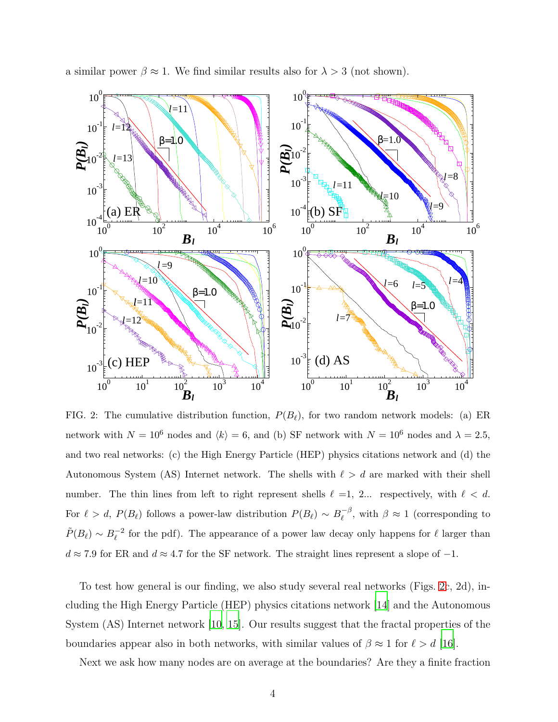

a similar power  $\beta \approx 1$ . We find similar results also for  $\lambda > 3$  (not shown).

<span id="page-3-0"></span>FIG. 2: The cumulative distribution function,  $P(B_{\ell})$ , for two random network models: (a) ER network with  $N = 10^6$  nodes and  $\langle k \rangle = 6$ , and (b) SF network with  $N = 10^6$  nodes and  $\lambda = 2.5$ , and two real networks: (c) the High Energy Particle (HEP) physics citations network and (d) the Autonomous System (AS) Internet network. The shells with  $\ell > d$  are marked with their shell number. The thin lines from left to right represent shells  $\ell = 1, 2...$  respectively, with  $\ell < d$ . For  $\ell > d$ ,  $P(B_{\ell})$  follows a power-law distribution  $P(B_{\ell}) \sim B_{\ell}^{-\beta}$  $\ell_{\ell}^{-\beta}$ , with  $\beta \approx 1$  (corresponding to  $\tilde{P}(B_{\ell}) \sim B_{\ell}^{-2}$  for the pdf). The appearance of a power law decay only happens for  $\ell$  larger than  $d \approx 7.9$  for ER and  $d \approx 4.7$  for the SF network. The straight lines represent a slope of  $-1$ .

To test how general is our finding, we also study several real networks (Figs. [2c](#page-3-0), 2d), including the High Energy Particle (HEP) physics citations network [\[14](#page-10-1)] and the Autonomous System (AS) Internet network [\[10](#page-9-10), [15\]](#page-10-2). Our results suggest that the fractal properties of the boundaries appear also in both networks, with similar values of  $\beta \approx 1$  for  $\ell > d$  [\[16](#page-10-3)].

Next we ask how many nodes are on average at the boundaries? Are they a finite fraction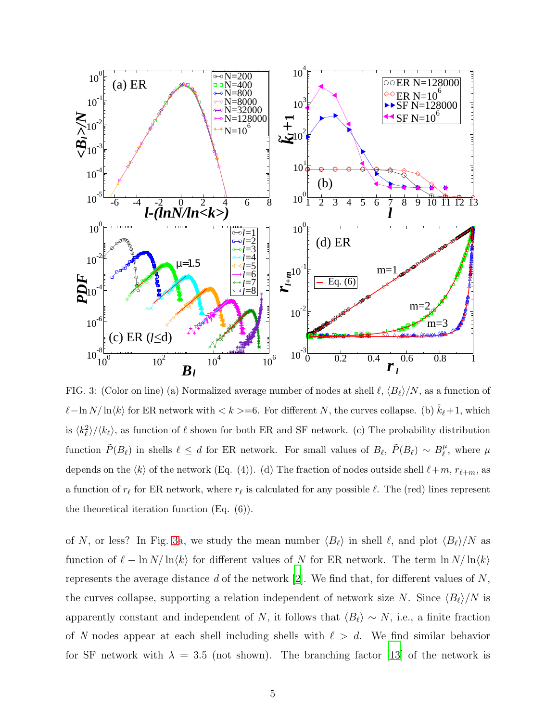

<span id="page-4-0"></span>FIG. 3: (Color on line) (a) Normalized average number of nodes at shell  $\ell$ ,  $\langle B_{\ell} \rangle/N$ , as a function of  $\ell-\ln N/\ln\langle k\rangle$  for ER network with  $\langle k \rangle = 6$ . For different N, the curves collapse. (b)  $\tilde{k}_{\ell}+1$ , which is  $\langle k_{\ell}^2 \rangle / \langle k_{\ell} \rangle$ , as function of  $\ell$  shown for both ER and SF network. (c) The probability distribution function  $\tilde{P}(B_{\ell})$  in shells  $\ell \leq d$  for ER network. For small values of  $B_{\ell}, \ \tilde{P}(B_{\ell}) \sim B_{\ell}^{\mu}$  $\ell^{\mu}$ , where  $\mu$ depends on the  $\langle k \rangle$  of the network (Eq. (4)). (d) The fraction of nodes outside shell  $\ell+m$ ,  $r_{\ell+m}$ , as a function of  $r_\ell$  for ER network, where  $r_\ell$  is calculated for any possible  $\ell$ . The (red) lines represent the theoretical iteration function (Eq. (6)).

of N, or less? In Fig. [3a](#page-4-0), we study the mean number  $\langle B_\ell \rangle$  in shell  $\ell$ , and plot  $\langle B_\ell \rangle/N$  as function of  $\ell - \ln N / \ln \langle k \rangle$  for different values of N for ER network. The term  $\ln N / \ln \langle k \rangle$ represents the average distance  $d$  of the network [\[2\]](#page-9-1). We find that, for different values of  $N$ , the curves collapse, supporting a relation independent of network size N. Since  $\langle B_\ell \rangle/N$  is apparently constant and independent of N, it follows that  $\langle B_\ell \rangle \sim N$ , i.e., a finite fraction of N nodes appear at each shell including shells with  $\ell > d$ . We find similar behavior for SF network with  $\lambda = 3.5$  (not shown). The branching factor [\[13](#page-10-4)] of the network is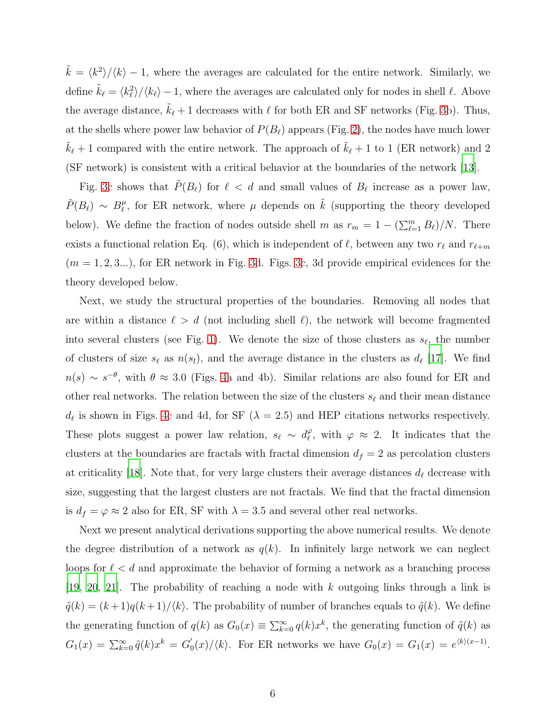$\tilde{k} = \langle k^2 \rangle / \langle k \rangle - 1$ , where the averages are calculated for the entire network. Similarly, we define  $\tilde{k}_{\ell} = \langle k_{\ell}^2 \rangle / \langle k_{\ell} \rangle - 1$ , where the averages are calculated only for nodes in shell  $\ell$ . Above the average distance,  $k_{\ell}$  + 1 decreases with  $\ell$  for both ER and SF networks (Fig. [3b](#page-4-0)). Thus, at the shells where power law behavior of  $P(B_{\ell})$  appears (Fig. [2\)](#page-3-0), the nodes have much lower  $\tilde{k}_{\ell}$  + 1 compared with the entire network. The approach of  $\tilde{k}_{\ell}$  + 1 to 1 (ER network) and 2 (SF network) is consistent with a critical behavior at the boundaries of the network [\[13](#page-10-4)].

Fig. [3c](#page-4-0) shows that  $\tilde{P}(B_{\ell})$  for  $\ell < d$  and small values of  $B_{\ell}$  increase as a power law,  $\tilde{P}(B_{\ell}) \sim B_{\ell}^{\mu}$  $\mu$ <sup> $\mu$ </sup>, for ER network, where  $\mu$  depends on  $\tilde{k}$  (supporting the theory developed below). We define the fraction of nodes outside shell m as  $r_m = 1 - (\sum_{\ell=1}^m B_\ell)/N$ . There exists a functional relation Eq. (6), which is independent of  $\ell$ , between any two  $r_{\ell}$  and  $r_{\ell+m}$  $(m = 1, 2, 3...)$ , for ER network in Fig. [3d](#page-4-0). Figs. [3c](#page-4-0), 3d provide empirical evidences for the theory developed below.

Next, we study the structural properties of the boundaries. Removing all nodes that are within a distance  $\ell > d$  (not including shell  $\ell$ ), the network will become fragmented into several clusters (see Fig. [1\)](#page-2-0). We denote the size of those clusters as  $s_{\ell}$ , the number of clusters of size  $s_{\ell}$  as  $n(s_{\ell})$ , and the average distance in the clusters as  $d_{\ell}$  [\[17](#page-10-5)]. We find  $n(s) \sim s^{-\theta}$ , with  $\theta \approx 3.0$  (Figs. [4a](#page-6-0) and 4b). Similar relations are also found for ER and other real networks. The relation between the size of the clusters  $s_{\ell}$  and their mean distance  $d_{\ell}$  is shown in Figs. [4c](#page-6-0) and 4d, for SF ( $\lambda = 2.5$ ) and HEP citations networks respectively. These plots suggest a power law relation,  $s_{\ell} \sim d_{\ell}^{\varphi}$  $\varphi$ , with  $\varphi \approx 2$ . It indicates that the clusters at the boundaries are fractals with fractal dimension  $d_f = 2$  as percolation clusters at criticality [\[18\]](#page-10-6). Note that, for very large clusters their average distances  $d_{\ell}$  decrease with size, suggesting that the largest clusters are not fractals. We find that the fractal dimension is  $d_f = \varphi \approx 2$  also for ER, SF with  $\lambda = 3.5$  and several other real networks.

Next we present analytical derivations supporting the above numerical results. We denote the degree distribution of a network as  $q(k)$ . In infinitely large network we can neglect loops for  $\ell < d$  and approximate the behavior of forming a network as a branching process [\[19,](#page-10-7) [20](#page-10-8), [21\]](#page-10-9). The probability of reaching a node with k outgoing links through a link is  $\tilde{q}(k) = (k+1)q(k+1)/\langle k \rangle$ . The probability of number of branches equals to  $\tilde{q}(k)$ . We define the generating function of  $q(k)$  as  $G_0(x) \equiv \sum_{k=0}^{\infty} q(k)x^k$ , the generating function of  $\tilde{q}(k)$  as  $G_1(x) = \sum_{k=0}^{\infty} \tilde{q}(k)x^k = G'_0$  $C_0(x)/\langle k \rangle$ . For ER networks we have  $G_0(x) = G_1(x) = e^{\langle k \rangle (x-1)}$ .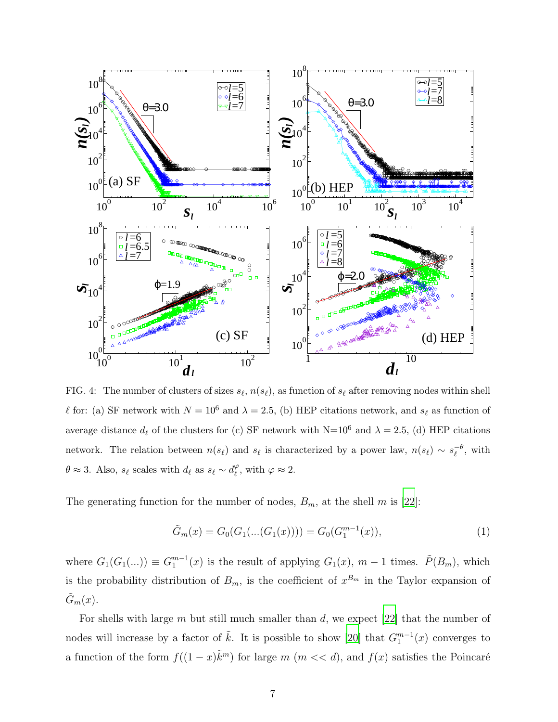

<span id="page-6-0"></span>FIG. 4: The number of clusters of sizes  $s_{\ell}, n(s_{\ell})$ , as function of  $s_{\ell}$  after removing nodes within shell  $\ell$  for: (a) SF network with  $N = 10^6$  and  $\lambda = 2.5$ , (b) HEP citations network, and  $s_{\ell}$  as function of average distance  $d_{\ell}$  of the clusters for (c) SF network with N=10<sup>6</sup> and  $\lambda = 2.5$ , (d) HEP citations network. The relation between  $n(s_\ell)$  and  $s_\ell$  is characterized by a power law,  $n(s_\ell) \sim s_\ell^{-\theta}$ , with  $\theta \approx 3$ . Also,  $s_{\ell}$  scales with  $d_{\ell}$  as  $s_{\ell} \sim d_{\ell}^{\varphi}$  $_{\ell}^{\varphi}$ , with  $\varphi \approx 2$ .

The generating function for the number of nodes,  $B_m$ , at the shell m is [\[22](#page-10-10)]:

$$
\tilde{G}_m(x) = G_0(G_1(...(G_1(x)))) = G_0(G_1^{m-1}(x)),
$$
\n(1)

where  $G_1(G_1(...)) \equiv G_1^{m-1}(x)$  is the result of applying  $G_1(x)$ ,  $m-1$  times.  $\tilde{P}(B_m)$ , which is the probability distribution of  $B_m$ , is the coefficient of  $x^{B_m}$  in the Taylor expansion of  $\tilde{G}_m(x)$ .

For shells with large m but still much smaller than d, we expect [\[22\]](#page-10-10) that the number of nodes will increase by a factor of  $\tilde{k}$ . It is possible to show [\[20](#page-10-8)] that  $G_1^{m-1}(x)$  converges to a function of the form  $f((1-x)\tilde{k}^m)$  for large  $m \ (m \ll d)$ , and  $f(x)$  satisfies the Poincaré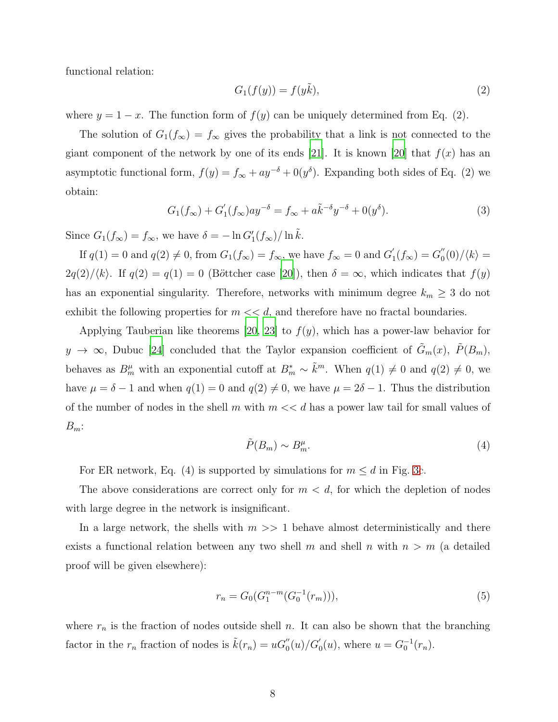functional relation:

$$
G_1(f(y)) = f(y\tilde{k}),\tag{2}
$$

where  $y = 1 - x$ . The function form of  $f(y)$  can be uniquely determined from Eq. (2).

The solution of  $G_1(f_\infty) = f_\infty$  gives the probability that a link is not connected to the giant component of the network by one of its ends [\[21](#page-10-9)]. It is known [\[20](#page-10-8)] that  $f(x)$  has an asymptotic functional form,  $f(y) = f_{\infty} + ay^{-\delta} + 0(y^{\delta})$ . Expanding both sides of Eq. (2) we obtain:

$$
G_1(f_\infty) + G_1'(f_\infty)ay^{-\delta} = f_\infty + a\tilde{k}^{-\delta}y^{-\delta} + 0(y^\delta). \tag{3}
$$

Since  $G_1(f_\infty) = f_\infty$ , we have  $\delta = -\ln G_1'(f_\infty)/\ln \tilde{k}$ .

If  $q(1) = 0$  and  $q(2) \neq 0$ , from  $G_1(f_\infty) = f_\infty$ , we have  $f_\infty = 0$  and  $G'_1$  $J_1'(f_{\infty}) = G_0''$  $\binom{0}{0}$  /  $\langle k \rangle =$  $2q(2)/\langle k \rangle$ . If  $q(2) = q(1) = 0$  (Böttcher case [\[20](#page-10-8)]), then  $\delta = \infty$ , which indicates that  $f(y)$ has an exponential singularity. Therefore, networks with minimum degree  $k_m \geq 3$  do not exhibit the following properties for  $m \ll d$ , and therefore have no fractal boundaries.

Applying Tauberian like theorems [\[20](#page-10-8), [23\]](#page-10-11) to  $f(y)$ , which has a power-law behavior for  $y \to \infty$ , Dubuc [\[24\]](#page-10-12) concluded that the Taylor expansion coefficient of  $\tilde{G}_m(x)$ ,  $\tilde{P}(B_m)$ , behaves as  $B_m^{\mu}$  with an exponential cutoff at  $B_m^* \sim \tilde{k}^m$ . When  $q(1) \neq 0$  and  $q(2) \neq 0$ , we have  $\mu = \delta - 1$  and when  $q(1) = 0$  and  $q(2) \neq 0$ , we have  $\mu = 2\delta - 1$ . Thus the distribution of the number of nodes in the shell m with  $m \ll d$  has a power law tail for small values of  $B_m$ :

$$
\tilde{P}(B_m) \sim B_m^{\mu}.\tag{4}
$$

For ER network, Eq. (4) is supported by simulations for  $m \le d$  in Fig. [3c](#page-4-0).

The above considerations are correct only for  $m < d$ , for which the depletion of nodes with large degree in the network is insignificant.

In a large network, the shells with  $m \gg 1$  behave almost deterministically and there exists a functional relation between any two shell m and shell n with  $n > m$  (a detailed proof will be given elsewhere):

$$
r_n = G_0(G_1^{n-m}(G_0^{-1}(r_m))),\tag{5}
$$

where  $r_n$  is the fraction of nodes outside shell n. It can also be shown that the branching factor in the  $r_n$  fraction of nodes is  $\tilde{k}(r_n) = uG''_0(u)/G'_0(u)$ , where  $u = G_0^{-1}(r_n)$ .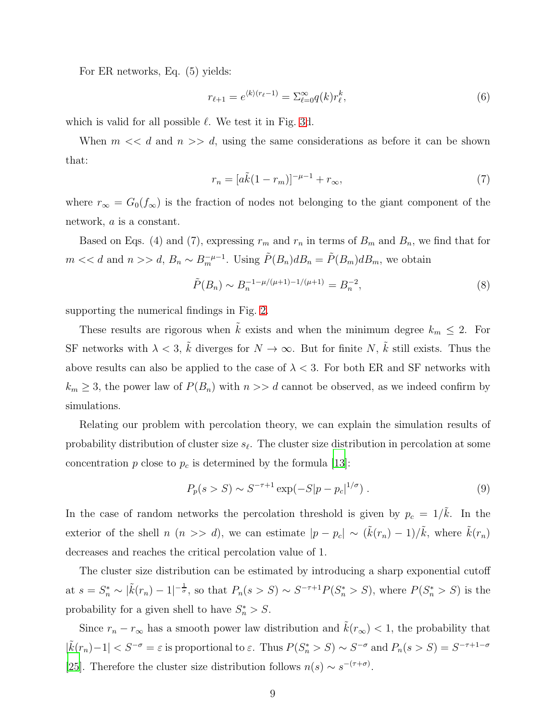For ER networks, Eq. (5) yields:

$$
r_{\ell+1} = e^{\langle k \rangle (r_{\ell}-1)} = \sum_{\ell=0}^{\infty} q(k) r_{\ell}^k,
$$
\n(6)

which is valid for all possible  $\ell$ . We test it in Fig. [3d](#page-4-0).

When  $m \ll d$  and  $n \gg d$ , using the same considerations as before it can be shown that:

$$
r_n = [a\tilde{k}(1 - r_m)]^{-\mu - 1} + r_\infty,\tag{7}
$$

where  $r_{\infty} = G_0(f_{\infty})$  is the fraction of nodes not belonging to the giant component of the network, a is a constant.

Based on Eqs. (4) and (7), expressing  $r_m$  and  $r_n$  in terms of  $B_m$  and  $B_n$ , we find that for  $m \ll d$  and  $n >> d$ ,  $B_n \sim B_m^{-\mu-1}$ . Using  $\tilde{P}(B_n) d B_n = \tilde{P}(B_m) d B_m$ , we obtain

$$
\tilde{P}(B_n) \sim B_n^{-1 - \mu/(\mu + 1) - 1/(\mu + 1)} = B_n^{-2},\tag{8}
$$

supporting the numerical findings in Fig. [2.](#page-3-0)

These results are rigorous when  $\tilde{k}$  exists and when the minimum degree  $k_m \leq 2$ . For SF networks with  $\lambda < 3$ ,  $\tilde{k}$  diverges for  $N \to \infty$ . But for finite N,  $\tilde{k}$  still exists. Thus the above results can also be applied to the case of  $\lambda < 3$ . For both ER and SF networks with  $k_m \geq 3$ , the power law of  $P(B_n)$  with  $n >> d$  cannot be observed, as we indeed confirm by simulations.

Relating our problem with percolation theory, we can explain the simulation results of probability distribution of cluster size  $s_{\ell}$ . The cluster size distribution in percolation at some concentration  $p$  close to  $p_c$  is determined by the formula [\[13](#page-10-4)]:

$$
P_p(s > S) \sim S^{-\tau+1} \exp(-S|p - p_c|^{1/\sigma}).
$$
\n(9)

In the case of random networks the percolation threshold is given by  $p_c = 1/\tilde{k}$ . In the exterior of the shell n  $(n \gg d)$ , we can estimate  $|p - p_c| \sim (\tilde{k}(r_n) - 1)/\tilde{k}$ , where  $\tilde{k}(r_n)$ decreases and reaches the critical percolation value of 1.

The cluster size distribution can be estimated by introducing a sharp exponential cutoff at  $s = S_n^* \sim |\tilde{k}(r_n) - 1|^{-\frac{1}{\sigma}},$  so that  $P_n(s > S) \sim S^{-\tau+1} P(S_n^* > S)$ , where  $P(S_n^* > S)$  is the probability for a given shell to have  $S_n^* > S$ .

Since  $r_n - r_\infty$  has a smooth power law distribution and  $\tilde{k}(r_\infty) < 1$ , the probability that  $|\tilde{k}(r_n)-1| < S^{-\sigma} = \varepsilon$  is proportional to  $\varepsilon$ . Thus  $P(S_n^* > S) \sim S^{-\sigma}$  and  $P_n(s > S) = S^{-\tau+1-\sigma}$ [\[25](#page-10-13)]. Therefore the cluster size distribution follows  $n(s) \sim s^{-(\tau+\sigma)}$ .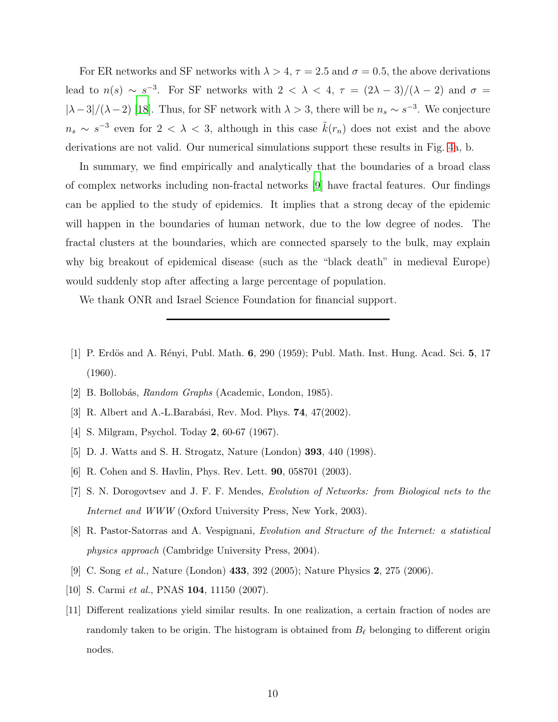For ER networks and SF networks with  $\lambda > 4$ ,  $\tau = 2.5$  and  $\sigma = 0.5$ , the above derivations lead to  $n(s) \sim s^{-3}$ . For SF networks with  $2 < \lambda < 4$ ,  $\tau = (2\lambda - 3)/(\lambda - 2)$  and  $\sigma =$  $|\lambda-3|/(\lambda-2)$  [\[18\]](#page-10-6). Thus, for SF network with  $\lambda > 3$ , there will be  $n_s \sim s^{-3}$ . We conjecture  $n_s \sim s^{-3}$  even for  $2 < \lambda < 3$ , although in this case  $\tilde{k}(r_n)$  does not exist and the above derivations are not valid. Our numerical simulations support these results in Fig. [4a](#page-6-0), b.

In summary, we find empirically and analytically that the boundaries of a broad class of complex networks including non-fractal networks [\[9\]](#page-9-8) have fractal features. Our findings can be applied to the study of epidemics. It implies that a strong decay of the epidemic will happen in the boundaries of human network, due to the low degree of nodes. The fractal clusters at the boundaries, which are connected sparsely to the bulk, may explain why big breakout of epidemical disease (such as the "black death" in medieval Europe) would suddenly stop after affecting a large percentage of population.

We thank ONR and Israel Science Foundation for financial support.

- <span id="page-9-0"></span>[1] P. Erdös and A. Rényi, Publ. Math. 6, 290 (1959); Publ. Math. Inst. Hung. Acad. Sci. 5, 17 (1960).
- <span id="page-9-1"></span>[2] B. Bollob´as, *Random Graphs* (Academic, London, 1985).
- <span id="page-9-2"></span>[3] R. Albert and A.-L.Barabási, Rev. Mod. Phys. **74**, 47(2002).
- <span id="page-9-3"></span>[4] S. Milgram, Psychol. Today 2, 60-67 (1967).
- <span id="page-9-4"></span>[5] D. J. Watts and S. H. Strogatz, Nature (London) 393, 440 (1998).
- <span id="page-9-5"></span>[6] R. Cohen and S. Havlin, Phys. Rev. Lett. 90, 058701 (2003).
- <span id="page-9-6"></span>[7] S. N. Dorogovtsev and J. F. F. Mendes, *Evolution of Networks: from Biological nets to the Internet and WWW* (Oxford University Press, New York, 2003).
- <span id="page-9-7"></span>[8] R. Pastor-Satorras and A. Vespignani, *Evolution and Structure of the Internet: a statistical physics approach* (Cambridge University Press, 2004).
- <span id="page-9-8"></span>[9] C. Song *et al.*, Nature (London) 433, 392 (2005); Nature Physics 2, 275 (2006).
- <span id="page-9-10"></span>[10] S. Carmi *et al.*, PNAS **104**, 11150 (2007).
- <span id="page-9-9"></span>[11] Different realizations yield similar results. In one realization, a certain fraction of nodes are randomly taken to be origin. The histogram is obtained from  $B_{\ell}$  belonging to different origin nodes.